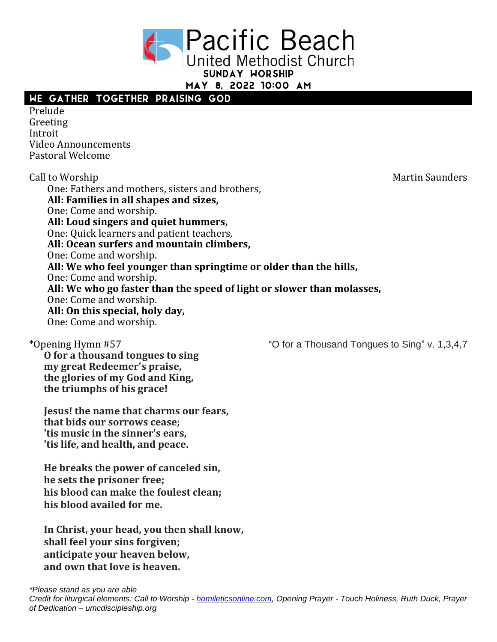

MAY 8. 2022 10:00 AM

## WE GATHER TOGETHER PRAISING GOD

Prelude Greeting Introit Video Announcements Pastoral Welcome

Call to Worship **Martin Saunders Call to Worship** Martin Saunders One: Fathers and mothers, sisters and brothers, **All: Families in all shapes and sizes,** One: Come and worship. **All: Loud singers and quiet hummers,** One: Quick learners and patient teachers, **All: Ocean surfers and mountain climbers,** One: Come and worship. **All: We who feel younger than springtime or older than the hills,** One: Come and worship. **All: We who go faster than the speed of light or slower than molasses,** One: Come and worship. **All: On this special, holy day,** One: Come and worship.

\*Opening Hymn #57 "O for a Thousand Tongues to Sing" v. 1,3,4,7

**O for a thousand tongues to sing my great Redeemer's praise, the glories of my God and King, the triumphs of his grace!**

**Jesus! the name that charms our fears, that bids our sorrows cease; 'tis music in the sinner's ears, 'tis life, and health, and peace.**

**He breaks the power of canceled sin, he sets the prisoner free; his blood can make the foulest clean; his blood availed for me.**

**In Christ, your head, you then shall know, shall feel your sins forgiven; anticipate your heaven below, and own that love is heaven.**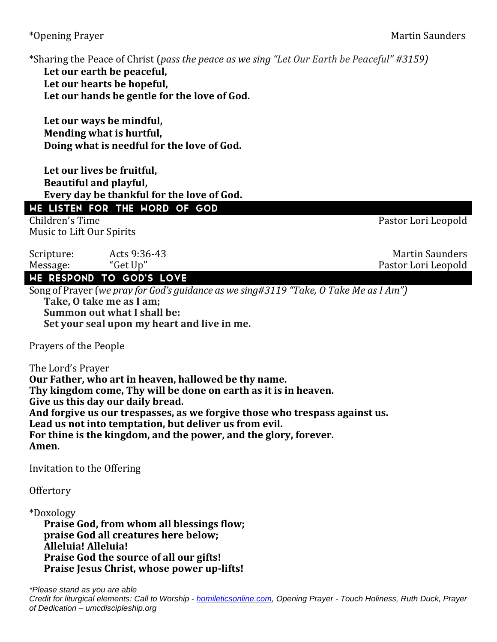\*Opening Prayer Martin Saunders

\*Sharing the Peace of Christ (*pass the peace as we sing "Let Our Earth be Peaceful" #3159)*

**Let our earth be peaceful, Let our hearts be hopeful, Let our hands be gentle for the love of God.**

**Let our ways be mindful, Mending what is hurtful, Doing what is needful for the love of God.**

**Let our lives be fruitful, Beautiful and playful, Every day be thankful for the love of God.**

## WE LISTEN FOR THE WORD OF GOD

Children's Time Pastor Lori Leopold Music to Lift Our Spirits

Scripture: Acts 9:36-43 Martin Saunders Message: "Get Up" Pastor Lori Leopold

WE RESPOND TO GOD'S LOVE

Song of Prayer (*we pray for God's guidance as we sing#3119 "Take, O Take Me as I Am")* **Take, O take me as I am; Summon out what I shall be: Set your seal upon my heart and live in me.**

Prayers of the People

The Lord's Prayer **Our Father, who art in heaven, hallowed be thy name. Thy kingdom come, Thy will be done on earth as it is in heaven. Give us this day our daily bread. And forgive us our trespasses, as we forgive those who trespass against us. Lead us not into temptation, but deliver us from evil. For thine is the kingdom, and the power, and the glory, forever. Amen.**

Invitation to the Offering

Offertory

\*Doxology **Praise God, from whom all blessings flow; praise God all creatures here below; Alleluia! Alleluia! Praise God the source of all our gifts! Praise Jesus Christ, whose power up-lifts!**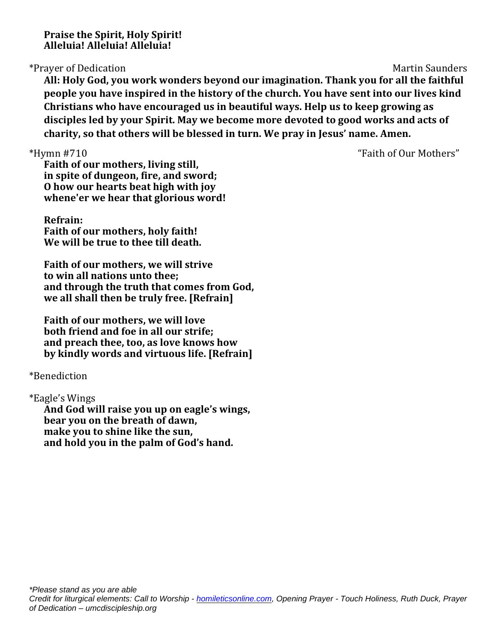**Praise the Spirit, Holy Spirit! Alleluia! Alleluia! Alleluia!**

\*Prayer of Dedication Martin Saunders

**All: Holy God, you work wonders beyond our imagination. Thank you for all the faithful people you have inspired in the history of the church. You have sent into our lives kind Christians who have encouraged us in beautiful ways. Help us to keep growing as disciples led by your Spirit. May we become more devoted to good works and acts of charity, so that others will be blessed in turn. We pray in Jesus' name. Amen.**

\*Hymn #710 "Faith of Our Mothers"

**Faith of our mothers, living still, in spite of dungeon, fire, and sword; O how our hearts beat high with joy whene'er we hear that glorious word!**

**Refrain: Faith of our mothers, holy faith! We will be true to thee till death.**

**Faith of our mothers, we will strive to win all nations unto thee; and through the truth that comes from God, we all shall then be truly free. [Refrain]**

**Faith of our mothers, we will love both friend and foe in all our strife; and preach thee, too, as love knows how by kindly words and virtuous life. [Refrain]**

\*Benediction

\*Eagle's Wings

**And God will raise you up on eagle's wings, bear you on the breath of dawn, make you to shine like the sun, and hold you in the palm of God's hand.**